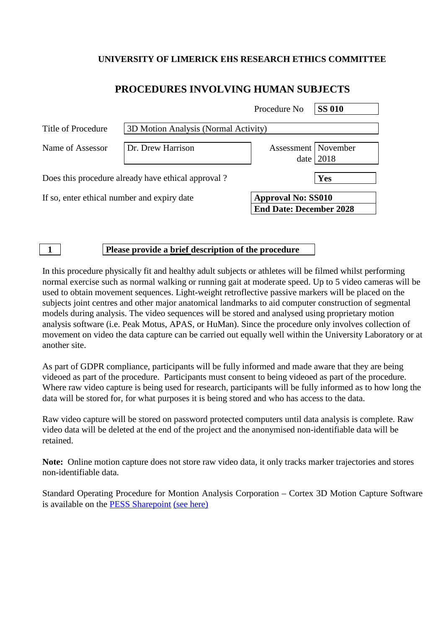### **UNIVERSITY OF LIMERICK EHS RESEARCH ETHICS COMMITTEE**

## **PROCEDURES INVOLVING HUMAN SUBJECTS**

|                                                    |                                      | Procedure No                                                | <b>SS 010</b> |
|----------------------------------------------------|--------------------------------------|-------------------------------------------------------------|---------------|
| Title of Procedure                                 | 3D Motion Analysis (Normal Activity) |                                                             |               |
| Name of Assessor                                   | Dr. Drew Harrison                    | Assessment   November                                       | date $ 2018$  |
| Does this procedure already have ethical approval? |                                      |                                                             | Yes           |
| If so, enter ethical number and expiry date        |                                      | <b>Approval No: SS010</b><br><b>End Date: December 2028</b> |               |

#### **1 Please provide a brief description of the procedure**

In this procedure physically fit and healthy adult subjects or athletes will be filmed whilst performing normal exercise such as normal walking or running gait at moderate speed. Up to 5 video cameras will be used to obtain movement sequences. Light-weight retroflective passive markers will be placed on the subjects joint centres and other major anatomical landmarks to aid computer construction of segmental models during analysis. The video sequences will be stored and analysed using proprietary motion analysis software (i.e. Peak Motus, APAS, or HuMan). Since the procedure only involves collection of movement on video the data capture can be carried out equally well within the University Laboratory or at another site.

As part of GDPR compliance, participants will be fully informed and made aware that they are being videoed as part of the procedure. Participants must consent to being videoed as part of the procedure. Where raw video capture is being used for research, participants will be fully informed as to how long the data will be stored for, for what purposes it is being stored and who has access to the data.

Raw video capture will be stored on password protected computers until data analysis is complete. Raw video data will be deleted at the end of the project and the anonymised non-identifiable data will be retained.

**Note:** Online motion capture does not store raw video data, it only tracks marker trajectories and stores non-identifiable data.

Standard Operating Procedure for Montion Analysis Corporation – Cortex 3D Motion Capture Software is available on the [PESS Sharepoint](https://sharepoint.ul.ie/SiteDirectory/PESS/Health%20and%20Safety1/Standard%20Operating%20Procedures%20(SOPs)/Biomechanics%20Lab%20SOPs/MAC%203D_SOP%20v3.pdf) [\(see here\)](https://sharepoint.ul.ie/SiteDirectory/PESS/Health%20and%20Safety1/Standard%20Operating%20Procedures%20(SOPs)/Biomechanics%20Lab%20SOPs/MAC%203D_SOP%20v3.pdf)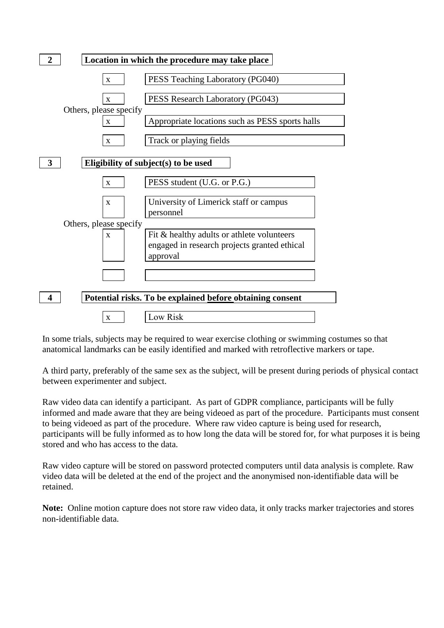

In some trials, subjects may be required to wear exercise clothing or swimming costumes so that anatomical landmarks can be easily identified and marked with retroflective markers or tape.

A third party, preferably of the same sex as the subject, will be present during periods of physical contact between experimenter and subject.

Raw video data can identify a participant. As part of GDPR compliance, participants will be fully informed and made aware that they are being videoed as part of the procedure. Participants must consent to being videoed as part of the procedure. Where raw video capture is being used for research, participants will be fully informed as to how long the data will be stored for, for what purposes it is being stored and who has access to the data.

Raw video capture will be stored on password protected computers until data analysis is complete. Raw video data will be deleted at the end of the project and the anonymised non-identifiable data will be retained.

**Note:** Online motion capture does not store raw video data, it only tracks marker trajectories and stores non-identifiable data.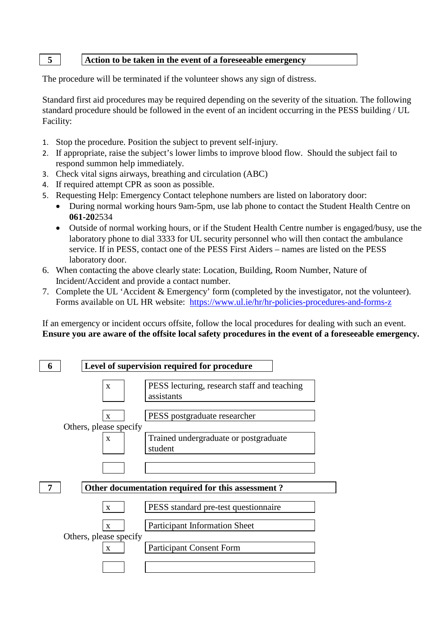#### **5 Action to be taken in the event of a foreseeable emergency**

The procedure will be terminated if the volunteer shows any sign of distress.

Standard first aid procedures may be required depending on the severity of the situation. The following standard procedure should be followed in the event of an incident occurring in the PESS building / UL Facility:

- 1. Stop the procedure. Position the subject to prevent self-injury.
- 2. If appropriate, raise the subject's lower limbs to improve blood flow. Should the subject fail to respond summon help immediately.
- 3. Check vital signs airways, breathing and circulation (ABC)
- 4. If required attempt CPR as soon as possible.
- 5. Requesting Help: Emergency Contact telephone numbers are listed on laboratory door:
	- During normal working hours 9am-5pm, use lab phone to contact the Student Health Centre on **061-20**2534
	- Outside of normal working hours, or if the Student Health Centre number is engaged/busy, use the laboratory phone to dial 3333 for UL security personnel who will then contact the ambulance service. If in PESS, contact one of the PESS First Aiders – names are listed on the PESS laboratory door.
- 6. When contacting the above clearly state: Location, Building, Room Number, Nature of Incident/Accident and provide a contact number.
- 7. Complete the UL 'Accident & Emergency' form (completed by the investigator, not the volunteer). Forms available on UL HR website: <https://www.ul.ie/hr/hr-policies-procedures-and-forms-z>

If an emergency or incident occurs offsite, follow the local procedures for dealing with such an event. **Ensure you are aware of the offsite local safety procedures in the event of a foreseeable emergency.**